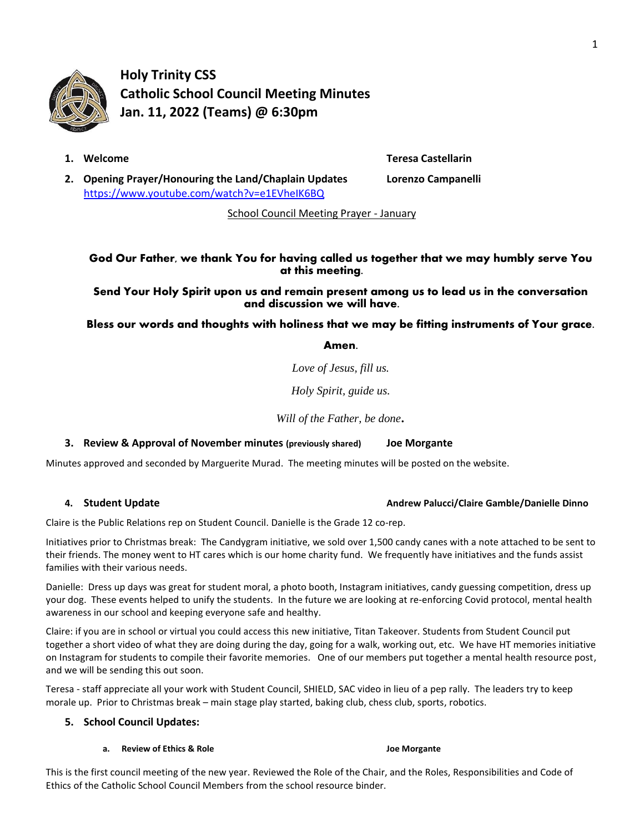

**Holy Trinity CSS Catholic School Council Meeting Minutes Jan. 11, 2022 (Teams) @ 6:30pm**

**1. Welcome Teresa Castellarin**

**2. Opening Prayer/Honouring the Land/Chaplain Updates Lorenzo Campanelli** <https://www.youtube.com/watch?v=e1EVheIK6BQ>

School Council Meeting Prayer - January

# God Our Father, we thank You for having called us together that we may humbly serve You at this meeting.

Send Your Holy Spirit upon us and remain present among us to lead us in the conversation and discussion we will have.

Bless our words and thoughts with holiness that we may be fitting instruments of Your grace.

Amen.

*Love of Jesus, fill us.*

*Holy Spirit, guide us.*

*Will of the Father, be done.*

# **3. Review & Approval of November minutes (previously shared) Joe Morgante**

Minutes approved and seconded by Marguerite Murad. The meeting minutes will be posted on the website.

# **4. Student Update Andrew Palucci/Claire Gamble/Danielle Dinno**

Claire is the Public Relations rep on Student Council. Danielle is the Grade 12 co-rep.

Initiatives prior to Christmas break: The Candygram initiative, we sold over 1,500 candy canes with a note attached to be sent to their friends. The money went to HT cares which is our home charity fund. We frequently have initiatives and the funds assist families with their various needs.

Danielle: Dress up days was great for student moral, a photo booth, Instagram initiatives, candy guessing competition, dress up your dog. These events helped to unify the students. In the future we are looking at re-enforcing Covid protocol, mental health awareness in our school and keeping everyone safe and healthy.

Claire: if you are in school or virtual you could access this new initiative, Titan Takeover. Students from Student Council put together a short video of what they are doing during the day, going for a walk, working out, etc. We have HT memories initiative on Instagram for students to compile their favorite memories. One of our members put together a mental health resource post, and we will be sending this out soon.

Teresa - staff appreciate all your work with Student Council, SHIELD, SAC video in lieu of a pep rally. The leaders try to keep morale up. Prior to Christmas break – main stage play started, baking club, chess club, sports, robotics.

# **5. School Council Updates:**

# **a. Review of Ethics & Role Joe Morgante Joe Morgante**

# This is the first council meeting of the new year. Reviewed the Role of the Chair, and the Roles, Responsibilities and Code of Ethics of the Catholic School Council Members from the school resource binder.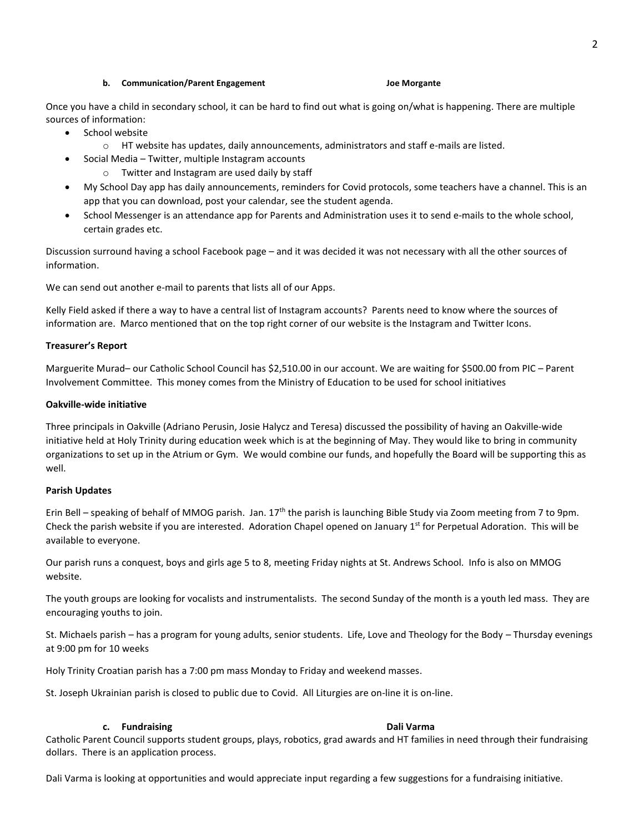Once you have a child in secondary school, it can be hard to find out what is going on/what is happening. There are multiple sources of information:

- School website
	- o HT website has updates, daily announcements, administrators and staff e-mails are listed.
- Social Media Twitter, multiple Instagram accounts
	- o Twitter and Instagram are used daily by staff
- My School Day app has daily announcements, reminders for Covid protocols, some teachers have a channel. This is an app that you can download, post your calendar, see the student agenda.
- School Messenger is an attendance app for Parents and Administration uses it to send e-mails to the whole school, certain grades etc.

Discussion surround having a school Facebook page – and it was decided it was not necessary with all the other sources of information.

We can send out another e-mail to parents that lists all of our Apps.

Kelly Field asked if there a way to have a central list of Instagram accounts? Parents need to know where the sources of information are. Marco mentioned that on the top right corner of our website is the Instagram and Twitter Icons.

#### **Treasurer's Report**

Marguerite Murad– our Catholic School Council has \$2,510.00 in our account. We are waiting for \$500.00 from PIC – Parent Involvement Committee. This money comes from the Ministry of Education to be used for school initiatives

#### **Oakville-wide initiative**

Three principals in Oakville (Adriano Perusin, Josie Halycz and Teresa) discussed the possibility of having an Oakville-wide initiative held at Holy Trinity during education week which is at the beginning of May. They would like to bring in community organizations to set up in the Atrium or Gym. We would combine our funds, and hopefully the Board will be supporting this as well.

#### **Parish Updates**

Erin Bell – speaking of behalf of MMOG parish. Jan. 17<sup>th</sup> the parish is launching Bible Study via Zoom meeting from 7 to 9pm. Check the parish website if you are interested. Adoration Chapel opened on January  $1<sup>st</sup>$  for Perpetual Adoration. This will be available to everyone.

Our parish runs a conquest, boys and girls age 5 to 8, meeting Friday nights at St. Andrews School. Info is also on MMOG website.

The youth groups are looking for vocalists and instrumentalists. The second Sunday of the month is a youth led mass. They are encouraging youths to join.

St. Michaels parish – has a program for young adults, senior students. Life, Love and Theology for the Body – Thursday evenings at 9:00 pm for 10 weeks

Holy Trinity Croatian parish has a 7:00 pm mass Monday to Friday and weekend masses.

St. Joseph Ukrainian parish is closed to public due to Covid. All Liturgies are on-line it is on-line.

#### **c. Fundraising Dali Varma**

Catholic Parent Council supports student groups, plays, robotics, grad awards and HT families in need through their fundraising dollars. There is an application process.

Dali Varma is looking at opportunities and would appreciate input regarding a few suggestions for a fundraising initiative.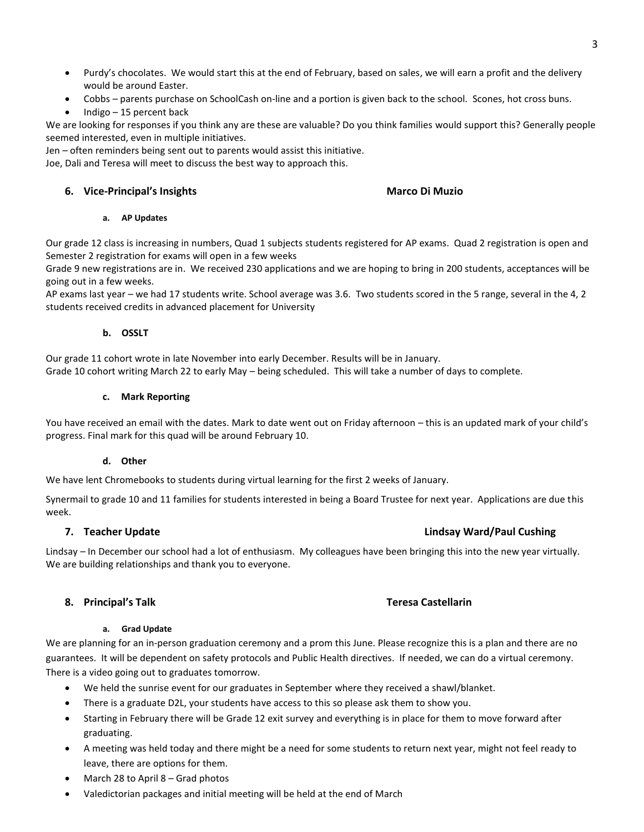- Purdy's chocolates. We would start this at the end of February, based on sales, we will earn a profit and the delivery would be around Easter.
- Cobbs parents purchase on SchoolCash on-line and a portion is given back to the school. Scones, hot cross buns.
- Indigo 15 percent back

We are looking for responses if you think any are these are valuable? Do you think families would support this? Generally people seemed interested, even in multiple initiatives.

Jen – often reminders being sent out to parents would assist this initiative.

Joe, Dali and Teresa will meet to discuss the best way to approach this.

# **6. Vice-Principal's Insights Marco Di Muzio**

#### **a. AP Updates**

Our grade 12 class is increasing in numbers, Quad 1 subjects students registered for AP exams. Quad 2 registration is open and Semester 2 registration for exams will open in a few weeks

Grade 9 new registrations are in. We received 230 applications and we are hoping to bring in 200 students, acceptances will be going out in a few weeks.

AP exams last year – we had 17 students write. School average was 3.6. Two students scored in the 5 range, several in the 4, 2 students received credits in advanced placement for University

# **b. OSSLT**

Our grade 11 cohort wrote in late November into early December. Results will be in January. Grade 10 cohort writing March 22 to early May – being scheduled. This will take a number of days to complete.

# **c. Mark Reporting**

You have received an email with the dates. Mark to date went out on Friday afternoon – this is an updated mark of your child's progress. Final mark for this quad will be around February 10.

# **d. Other**

We have lent Chromebooks to students during virtual learning for the first 2 weeks of January.

Synermail to grade 10 and 11 families for students interested in being a Board Trustee for next year. Applications are due this week.

Lindsay – In December our school had a lot of enthusiasm. My colleagues have been bringing this into the new year virtually. We are building relationships and thank you to everyone.

# **8. Principal's Talk Teresa Castellarin**

#### **a. Grad Update**

We are planning for an in-person graduation ceremony and a prom this June. Please recognize this is a plan and there are no guarantees. It will be dependent on safety protocols and Public Health directives. If needed, we can do a virtual ceremony. There is a video going out to graduates tomorrow.

- We held the sunrise event for our graduates in September where they received a shawl/blanket.
- There is a graduate D2L, your students have access to this so please ask them to show you.
- Starting in February there will be Grade 12 exit survey and everything is in place for them to move forward after graduating.
- A meeting was held today and there might be a need for some students to return next year, might not feel ready to leave, there are options for them.
- March 28 to April  $8 -$  Grad photos
- Valedictorian packages and initial meeting will be held at the end of March

# **7. Teacher Update Lindsay Ward/Paul Cushing**

# 3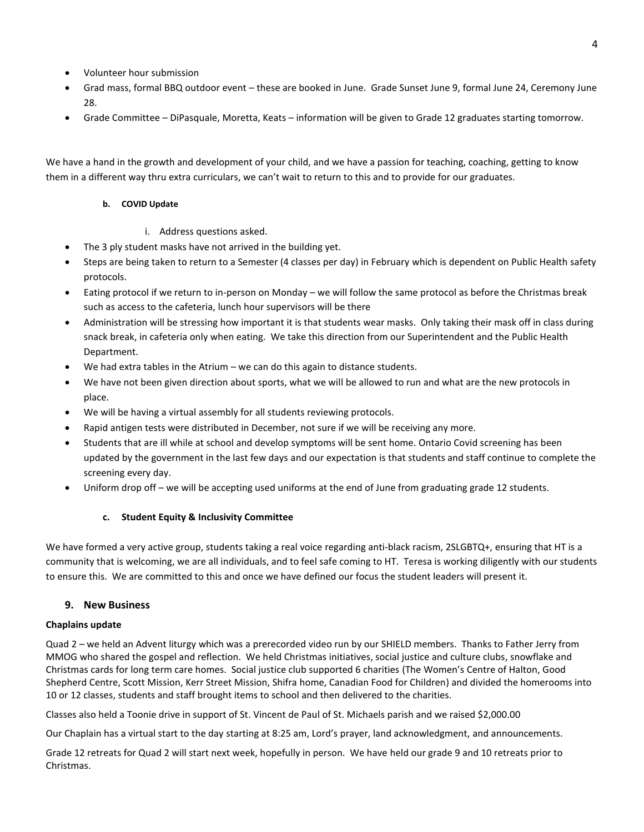- Volunteer hour submission
- Grad mass, formal BBQ outdoor event these are booked in June. Grade Sunset June 9, formal June 24, Ceremony June 28.
- Grade Committee DiPasquale, Moretta, Keats information will be given to Grade 12 graduates starting tomorrow.

We have a hand in the growth and development of your child, and we have a passion for teaching, coaching, getting to know them in a different way thru extra curriculars, we can't wait to return to this and to provide for our graduates.

#### **b. COVID Update**

- i. Address questions asked.
- The 3 ply student masks have not arrived in the building yet.
- Steps are being taken to return to a Semester (4 classes per day) in February which is dependent on Public Health safety protocols.
- Eating protocol if we return to in-person on Monday we will follow the same protocol as before the Christmas break such as access to the cafeteria, lunch hour supervisors will be there
- Administration will be stressing how important it is that students wear masks. Only taking their mask off in class during snack break, in cafeteria only when eating. We take this direction from our Superintendent and the Public Health Department.
- We had extra tables in the Atrium we can do this again to distance students.
- We have not been given direction about sports, what we will be allowed to run and what are the new protocols in place.
- We will be having a virtual assembly for all students reviewing protocols.
- Rapid antigen tests were distributed in December, not sure if we will be receiving any more.
- Students that are ill while at school and develop symptoms will be sent home. Ontario Covid screening has been updated by the government in the last few days and our expectation is that students and staff continue to complete the screening every day.
- Uniform drop off we will be accepting used uniforms at the end of June from graduating grade 12 students.

#### **c. Student Equity & Inclusivity Committee**

We have formed a very active group, students taking a real voice regarding anti-black racism, 2SLGBTQ+, ensuring that HT is a community that is welcoming, we are all individuals, and to feel safe coming to HT. Teresa is working diligently with our students to ensure this. We are committed to this and once we have defined our focus the student leaders will present it.

# **9. New Business**

#### **Chaplains update**

Quad 2 – we held an Advent liturgy which was a prerecorded video run by our SHIELD members. Thanks to Father Jerry from MMOG who shared the gospel and reflection. We held Christmas initiatives, social justice and culture clubs, snowflake and Christmas cards for long term care homes. Social justice club supported 6 charities (The Women's Centre of Halton, Good Shepherd Centre, Scott Mission, Kerr Street Mission, Shifra home, Canadian Food for Children) and divided the homerooms into 10 or 12 classes, students and staff brought items to school and then delivered to the charities.

Classes also held a Toonie drive in support of St. Vincent de Paul of St. Michaels parish and we raised \$2,000.00

Our Chaplain has a virtual start to the day starting at 8:25 am, Lord's prayer, land acknowledgment, and announcements.

Grade 12 retreats for Quad 2 will start next week, hopefully in person. We have held our grade 9 and 10 retreats prior to Christmas.